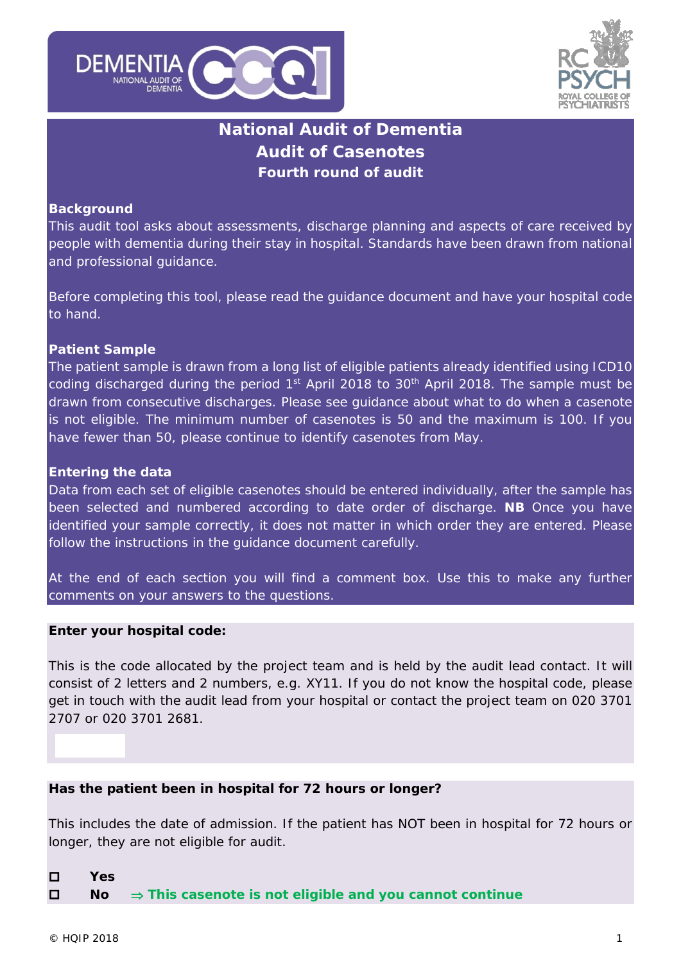



# **National Audit of Dementia Audit of Casenotes Fourth round of audit**

#### **Background**

This audit tool asks about assessments, discharge planning and aspects of care received by people with dementia during their stay in hospital. Standards have been drawn from national and professional guidance.

Before completing this tool, please read the guidance document and have your hospital code to hand.

#### **Patient Sample**

The patient sample is drawn from a long list of eligible patients already identified using ICD10 coding discharged during the period  $1<sup>st</sup>$  April 2018 to 30<sup>th</sup> April 2018. The sample must be drawn from consecutive discharges. Please see guidance about what to do when a casenote is not eligible. The minimum number of casenotes is 50 and the maximum is 100. If you have fewer than 50, please continue to identify casenotes from May.

#### **Entering the data**

Data from each set of eligible casenotes should be entered individually, after the sample has been selected and numbered according to date order of discharge. **NB** Once you have identified your sample correctly, it does not matter in which order they are entered. Please follow the instructions in the guidance document carefully.

At the end of each section you will find a comment box. Use this to make any further comments on your answers to the questions.

#### **Enter your hospital code:**

*This is the code allocated by the project team and is held by the audit lead contact. It will consist of 2 letters and 2 numbers, e.g. XY11. If you do not know the hospital code, please get in touch with the audit lead from your hospital or contact the project team on 020 3701 2707 or 020 3701 2681.*

#### **Has the patient been in hospital for 72 hours or longer?**

*This includes the date of admission. If the patient has NOT been in hospital for 72 hours or longer, they are not eligible for audit.*

**Yes**

**No** ⇒ **This casenote is not eligible and you cannot continue**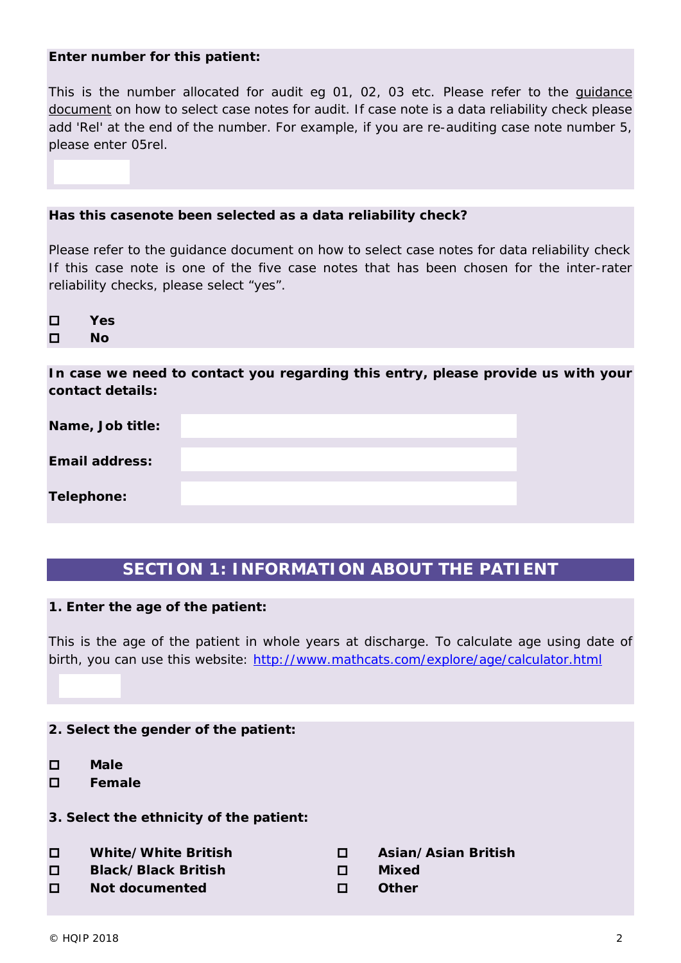#### **Enter number for this patient:**

*This is the number allocated for audit eg 01, 02, 03 etc. Please refer to the guidance document on how to select case notes for audit. If case note is a data reliability check please add 'Rel' at the end of the number. For example, if you are re-auditing case note number 5, please enter 05rel.*

#### **Has this casenote been selected as a data reliability check?**

*Please refer to the guidance document on how to select case notes for data reliability check If this case note is one of the five case notes that has been chosen for the inter-rater reliability checks, please select "yes".*

 **Yes No**

**In case we need to contact you regarding this entry, please provide us with your contact details:**

| Name, Job title:      |  |
|-----------------------|--|
| <b>Email address:</b> |  |
| Telephone:            |  |

# **SECTION 1: INFORMATION ABOUT THE PATIENT**

#### **1. Enter the age of the patient:**

*This is the age of the patient in whole years at discharge. To calculate age using date of birth, you can use this website:<http://www.mathcats.com/explore/age/calculator.html>*

#### **2. Select the gender of the patient:**

- **Male**
- **Female**
- **3. Select the ethnicity of the patient:**
- **White/White British Asian/Asian British**
- **Black/Black British D** Mixed
- **Not documented Other**
- 
- 
-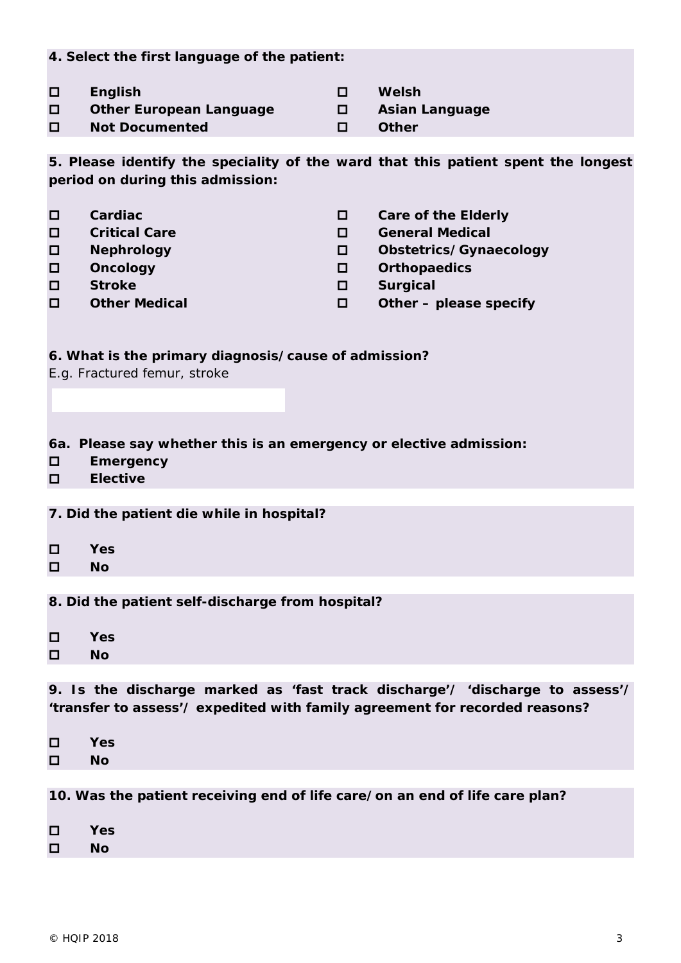**4. Select the first language of the patient:**

- **English Welsh**
- **D** Other European Language **D** Asian Language

**Not Documented Other**

- 
- 
- 

**5. Please identify the speciality of the ward that this patient spent the longest period on during this admission:** 

 **Cardiac Care of the Elderly Critical Care General Medical Nephrology Obstetrics/Gynaecology Oncology Orthopaedics Stroke Surgical Other Medical Other – please specify** 

# **6. What is the primary diagnosis/cause of admission?**

*E.g. Fractured femur, stroke*

# **6a. Please say whether this is an emergency or elective admission:**

- **Emergency**
- **Elective**

## **7. Did the patient die while in hospital?**

- **Yes**
- $\Pi$  **No**

# **8. Did the patient self-discharge from hospital?**

 **Yes No**

**9. Is the discharge marked as 'fast track discharge'/ 'discharge to assess'/ 'transfer to assess'/ expedited with family agreement for recorded reasons?**

 **Yes No**

**10. Was the patient receiving end of life care/on an end of life care plan?** 

- **Yes**
- **No**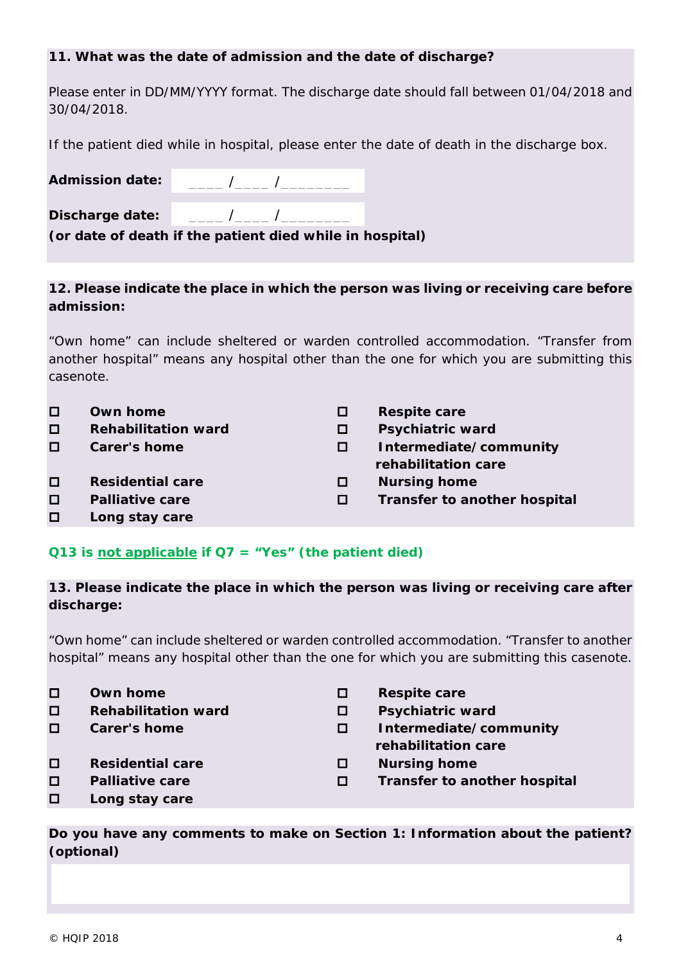#### **11. What was the date of admission and the date of discharge?**

*Please enter in DD/MM/YYYY format. The discharge date should fall between 01/04/2018 and 30/04/2018.*

*If the patient died while in hospital, please enter the date of death in the discharge box.* 

| <b>Admission date:</b> |                                                          |  |
|------------------------|----------------------------------------------------------|--|
| Discharge date:        |                                                          |  |
|                        | (or date of death if the patient died while in hospital) |  |

## **12. Please indicate the place in which the person was living or receiving care before admission:**

*"Own home" can include sheltered or warden controlled accommodation. "Transfer from another hospital" means any hospital other than the one for which you are submitting this casenote.*

| □      | Own home                   | <b>Respite care</b>          |
|--------|----------------------------|------------------------------|
| □      | <b>Rehabilitation ward</b> | <b>Psychiatric ward</b>      |
| П      | <b>Carer's home</b>        | Intermediate/community       |
|        |                            | rehabilitation care          |
| □      | <b>Residential care</b>    | <b>Nursing home</b>          |
| □      | <b>Palliative care</b>     | Transfer to another hospital |
| $\Box$ | Long stay care             |                              |

## **Q13 is not applicable if Q7 = "Yes" (the patient died)**

## **13. Please indicate the place in which the person was living or receiving care after discharge:**

*"Own home" can include sheltered or warden controlled accommodation. "Transfer to another hospital" means any hospital other than the one for which you are submitting this casenote.*

- **Own home D** Respite care
- **Rehabilitation ward Psychiatric ward**
- 
- **□** Residential care **D** Nursing home
- 
- **Long stay care**
- 
- 
- **Carer's home Intermediate/community rehabilitation care**
	-
- **Palliative care Transfer to another hospital**

*Do you have any comments to make on Section 1: Information about the patient? (optional)*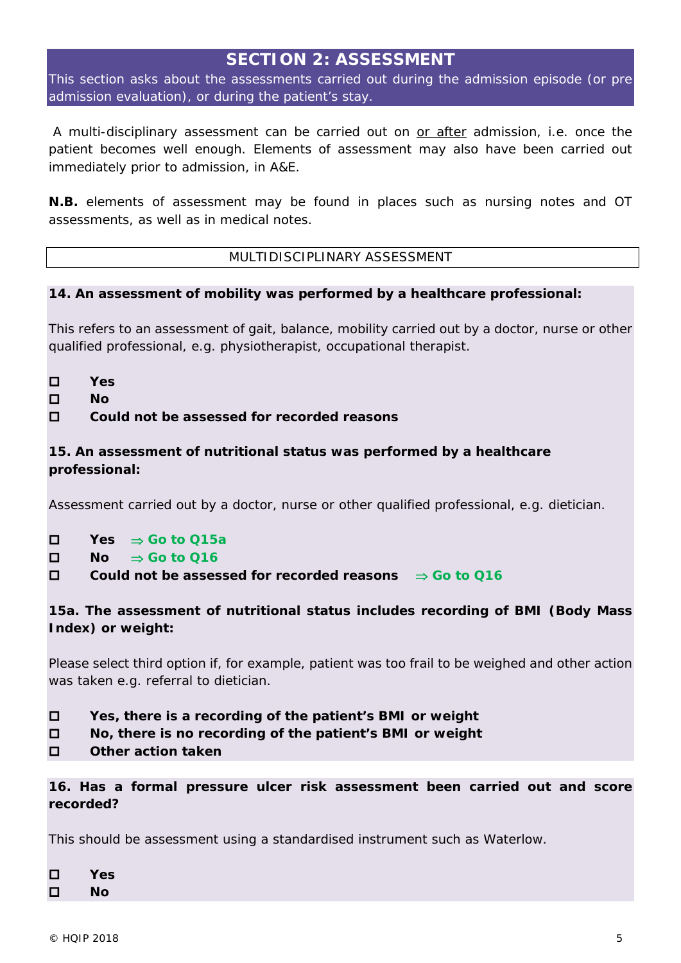# **SECTION 2: ASSESSMENT**

This section asks about the assessments carried out during the admission episode (or pre admission evaluation), or during the patient's stay.

*A multi-disciplinary assessment can be carried out on or after admission, i.e. once the patient becomes well enough. Elements of assessment may also have been carried out immediately prior to admission, in A&E.*

*N.B. elements of assessment may be found in places such as nursing notes and OT assessments, as well as in medical notes.*

## MULTIDISCIPLINARY ASSESSMENT

## **14. An assessment of mobility was performed by a healthcare professional:**

*This refers to an assessment of gait, balance, mobility carried out by a doctor, nurse or other qualified professional, e.g. physiotherapist, occupational therapist.* 

- **Yes**
- **No**

## **Could not be assessed for recorded reasons**

# **15. An assessment of nutritional status was performed by a healthcare professional:**

*Assessment carried out by a doctor, nurse or other qualified professional, e.g. dietician.* 

- **Yes** ⇒ **Go to Q15a**
- **No** ⇒ **Go to Q16**
- **Could not be assessed for recorded reasons** ⇒ **Go to Q16**

# **15a. The assessment of nutritional status includes recording of BMI (Body Mass Index) or weight:**

*Please select third option if, for example, patient was too frail to be weighed and other action was taken e.g. referral to dietician.*

- **Yes, there is a recording of the patient's BMI or weight**
- **No, there is no recording of the patient's BMI or weight**
- **Other action taken**

**16. Has a formal pressure ulcer risk assessment been carried out and score recorded?** 

*This should be assessment using a standardised instrument such as Waterlow.* 

| □ | Yes |
|---|-----|
| □ | Nο  |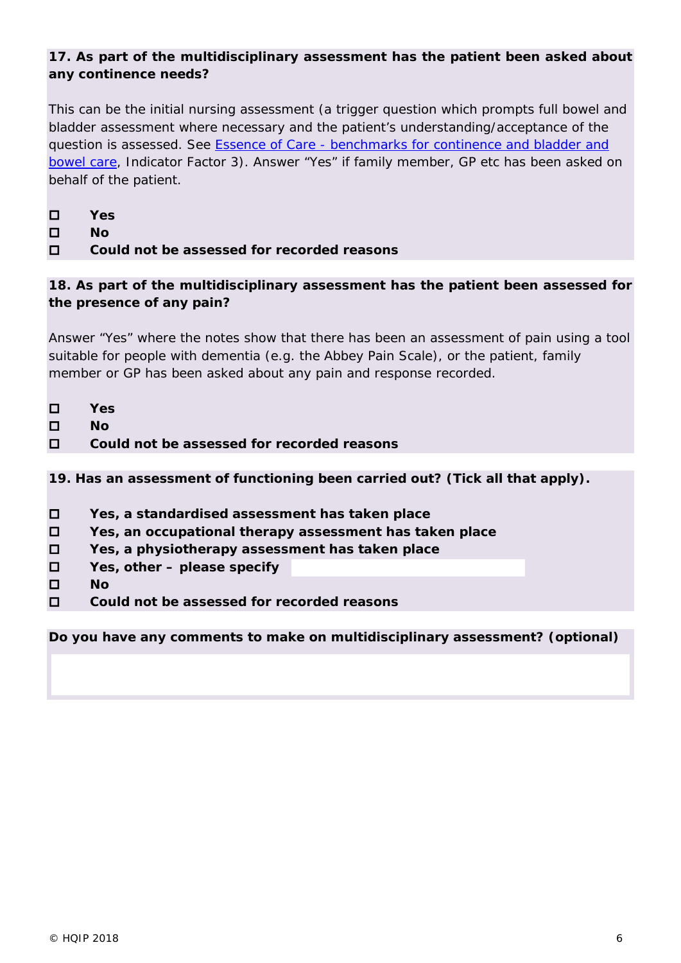# **17. As part of the multidisciplinary assessment has the patient been asked about any continence needs?**

*This can be the initial nursing assessment (a trigger question which prompts full bowel and bladder assessment where necessary and the patient's understanding/acceptance of the question is assessed. See Essence of Care - [benchmarks for continence and bladder and](http://www.dh.gov.uk/prod_consum_dh/groups/dh_digitalassets/@dh/@en/@ps/documents/digitalasset/dh_119971.pdf)  [bowel care,](http://www.dh.gov.uk/prod_consum_dh/groups/dh_digitalassets/@dh/@en/@ps/documents/digitalasset/dh_119971.pdf) Indicator Factor 3). Answer "Yes" if family member, GP etc has been asked on behalf of the patient.*

- **Yes**
- **No**
- **Could not be assessed for recorded reasons**

**18. As part of the multidisciplinary assessment has the patient been assessed for the presence of any pain?** 

*Answer "Yes" where the notes show that there has been an assessment of pain using a tool suitable for people with dementia (e.g. the Abbey Pain Scale), or the patient, family member or GP has been asked about any pain and response recorded.*

- **Yes**
- **No**
- **Could not be assessed for recorded reasons**

**19. Has an assessment of functioning been carried out?** *(Tick all that apply).*

- **Yes, a standardised assessment has taken place**
- **Yes, an occupational therapy assessment has taken place**
- **Yes, a physiotherapy assessment has taken place**
- **Yes, other – please specify**
- **No**
- **Could not be assessed for recorded reasons**

*Do you have any comments to make on multidisciplinary assessment? (optional)*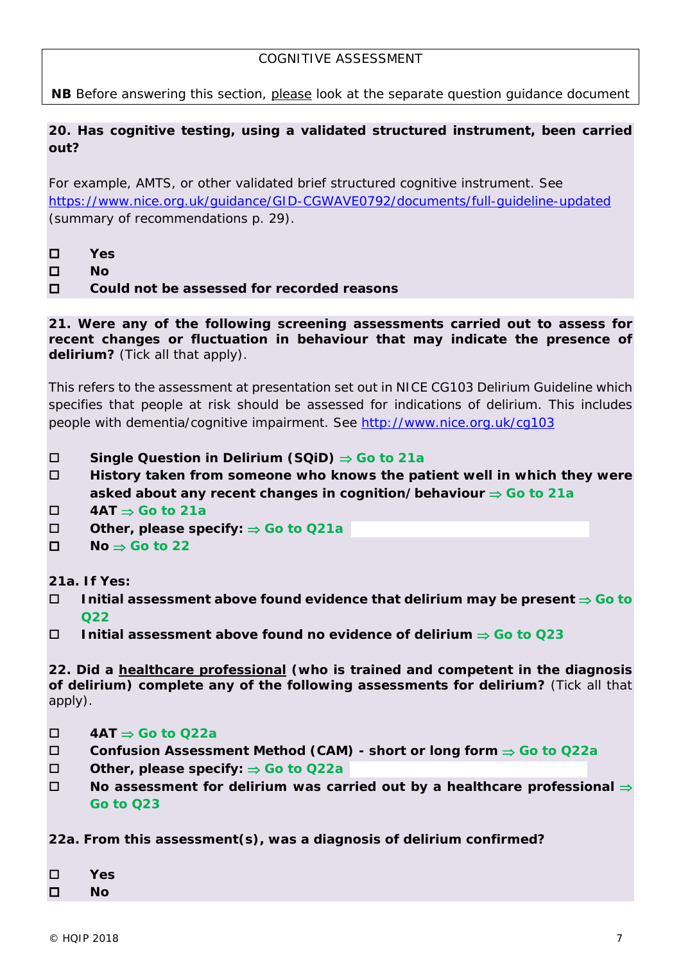## COGNITIVE ASSESSMENT

*NB Before answering this section, please look at the separate question guidance document*

#### **20. Has cognitive testing, using a validated structured instrument, been carried out?**

*For example, AMTS, or other validated brief structured cognitive instrument. See*  <https://www.nice.org.uk/guidance/GID-CGWAVE0792/documents/full-guideline-updated> *(summary of recommendations p. 29).*

- **Yes**
- **No**

**Could not be assessed for recorded reasons**

**21. Were any of the following screening assessments carried out to assess for recent changes or fluctuation in behaviour that may indicate the presence of delirium?** (Tick all that apply).

*This refers to the assessment at presentation set out in NICE CG103 Delirium Guideline which specifies that people at risk should be assessed for indications of delirium. This includes people with dementia/cognitive impairment. See<http://www.nice.org.uk/cg103>*

- **Single Question in Delirium (SQiD)** ⇒ **Go to 21a**
- **History taken from someone who knows the patient well in which they were asked about any recent changes in cognition/behaviour** ⇒ **Go to 21a**
- **4AT** ⇒ **Go to 21a**
- **Other, please specify:** ⇒ **Go to Q21a**
- $\Pi$  No  $\Rightarrow$  **Go to 22**

**21a. If Yes:**

- **Initial assessment above found evidence that delirium may be present** ⇒ **Go to Q22**
- **Initial assessment above found no evidence of delirium** ⇒ **Go to Q23**

**22. Did a healthcare professional (who is trained and competent in the diagnosis of delirium) complete any of the following assessments for delirium?** (Tick all that apply).

- **4AT** ⇒ **Go to Q22a**
- **Confusion Assessment Method (CAM) - short or long form** ⇒ **Go to Q22a**
- **Other, please specify:** ⇒ **Go to Q22a**
- **No assessment for delirium was carried out by a healthcare professional** ⇒ **Go to Q23**

**22a. From this assessment(s), was a diagnosis of delirium confirmed?**

**Yes**

**No**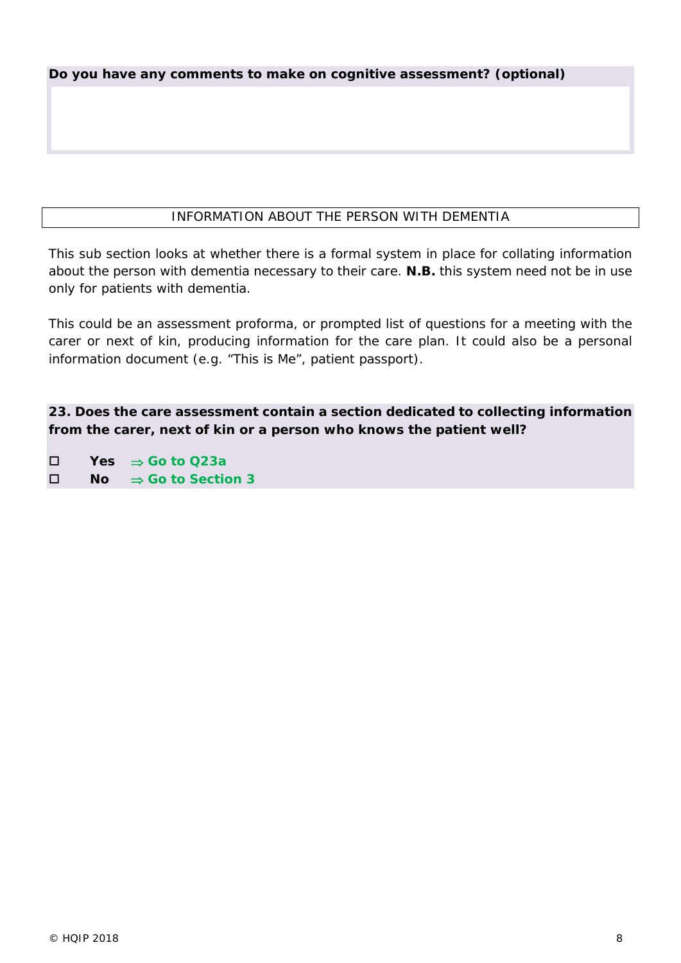*Do you have any comments to make on cognitive assessment? (optional)*

# INFORMATION ABOUT THE PERSON WITH DEMENTIA

This sub section looks at whether there is a formal system in place for collating information about the person with dementia necessary to their care. **N.B.** this system need not be in use only for patients with dementia.

This could be an assessment proforma, or prompted list of questions for a meeting with the carer or next of kin, producing information for the care plan. It could also be a personal information document (e.g. "This is Me", patient passport).

**23. Does the care assessment contain a section dedicated to collecting information from the carer, next of kin or a person who knows the patient well?**

 **Yes** ⇒ **Go to Q23a No** ⇒ **Go to Section 3**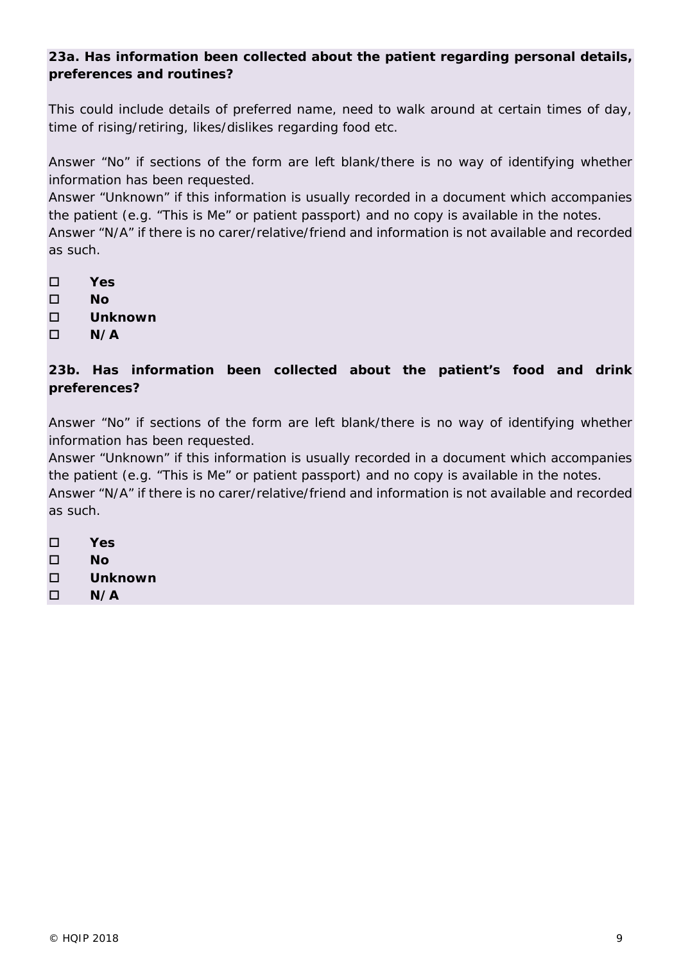# **23a. Has information been collected about the patient regarding personal details, preferences and routines?**

*This could include details of preferred name, need to walk around at certain times of day, time of rising/retiring, likes/dislikes regarding food etc.*

*Answer "No" if sections of the form are left blank/there is no way of identifying whether information has been requested.* 

*Answer "Unknown" if this information is usually recorded in a document which accompanies the patient (e.g. "This is Me" or patient passport) and no copy is available in the notes. Answer "N/A" if there is no carer/relative/friend and information is not available and recorded as such.* 

- **Yes**
- **No**
- **Unknown**
- **N/A**

# **23b. Has information been collected about the patient's food and drink preferences?**

*Answer "No" if sections of the form are left blank/there is no way of identifying whether information has been requested.* 

*Answer "Unknown" if this information is usually recorded in a document which accompanies the patient (e.g. "This is Me" or patient passport) and no copy is available in the notes. Answer "N/A" if there is no carer/relative/friend and information is not available and recorded as such.* 

- **Yes**
- **No**
- **Unknown**
- **N/A**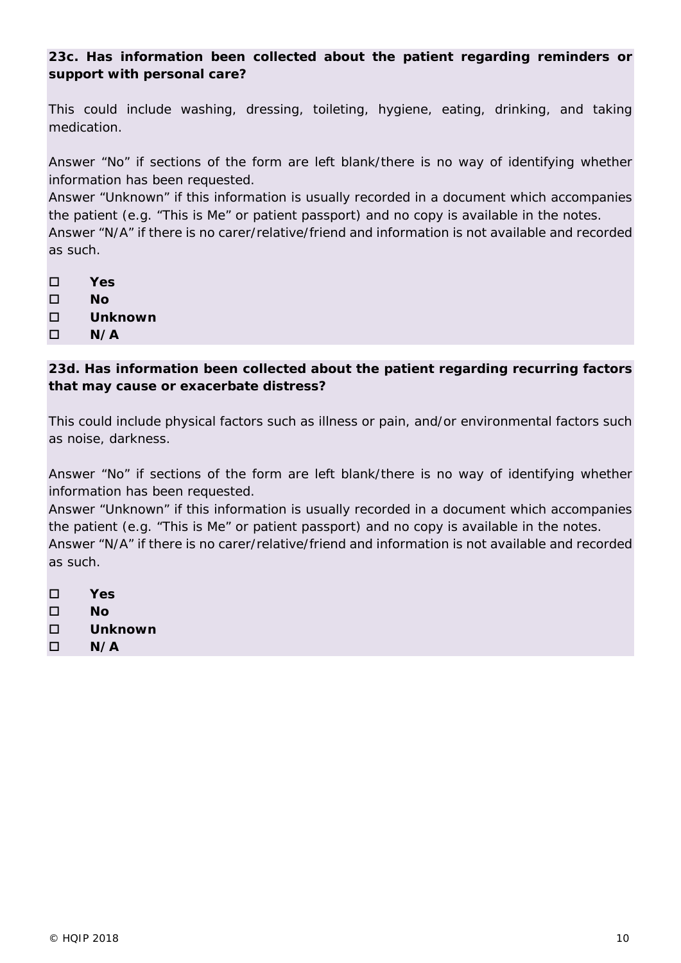**23c. Has information been collected about the patient regarding reminders or support with personal care?**

*This could include washing, dressing, toileting, hygiene, eating, drinking, and taking medication.* 

*Answer "No" if sections of the form are left blank/there is no way of identifying whether information has been requested.* 

*Answer "Unknown" if this information is usually recorded in a document which accompanies the patient (e.g. "This is Me" or patient passport) and no copy is available in the notes. Answer "N/A" if there is no carer/relative/friend and information is not available and recorded as such.* 

- **Yes**
- **No**
- **Unknown**
- **N/A**

# **23d. Has information been collected about the patient regarding recurring factors that may cause or exacerbate distress?**

*This could include physical factors such as illness or pain, and/or environmental factors such as noise, darkness.* 

*Answer "No" if sections of the form are left blank/there is no way of identifying whether information has been requested.* 

*Answer "Unknown" if this information is usually recorded in a document which accompanies the patient (e.g. "This is Me" or patient passport) and no copy is available in the notes. Answer "N/A" if there is no carer/relative/friend and information is not available and recorded as such.* 

- **Yes**
- **No**
- **Unknown**
- $\Box$  N/A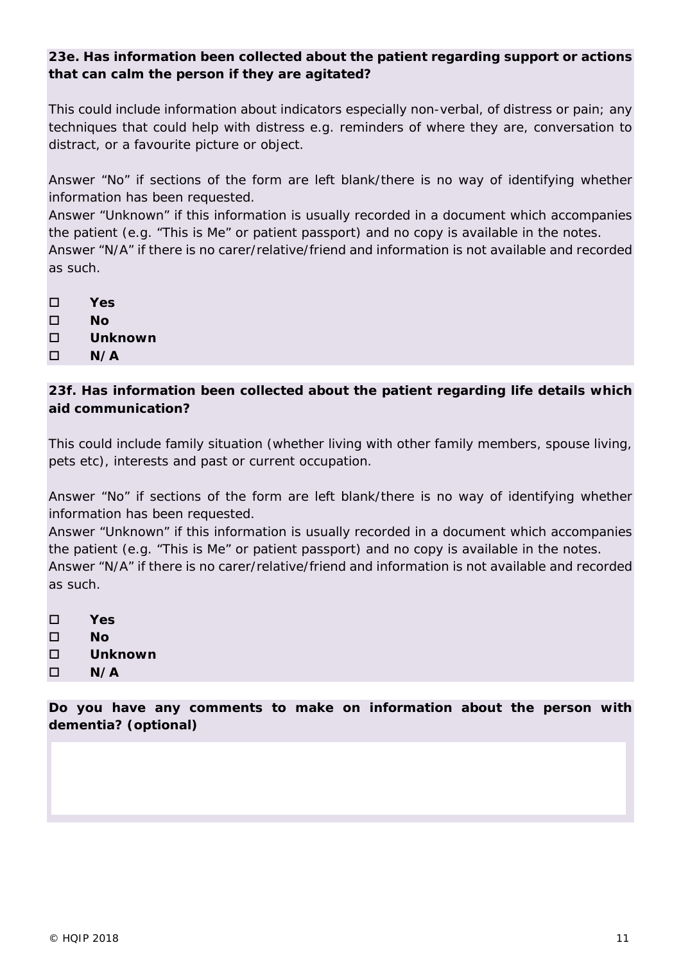# **23e. Has information been collected about the patient regarding support or actions that can calm the person if they are agitated?**

*This could include information about indicators especially non-verbal, of distress or pain; any techniques that could help with distress e.g. reminders of where they are, conversation to distract, or a favourite picture or object.* 

*Answer "No" if sections of the form are left blank/there is no way of identifying whether information has been requested.*

*Answer "Unknown" if this information is usually recorded in a document which accompanies the patient (e.g. "This is Me" or patient passport) and no copy is available in the notes. Answer "N/A" if there is no carer/relative/friend and information is not available and recorded as such.* 

**Yes**

**No**

**Unknown**

 $\Box$  N/A

# **23f. Has information been collected about the patient regarding life details which aid communication?**

*This could include family situation (whether living with other family members, spouse living, pets etc), interests and past or current occupation.* 

*Answer "No" if sections of the form are left blank/there is no way of identifying whether information has been requested.* 

*Answer "Unknown" if this information is usually recorded in a document which accompanies the patient (e.g. "This is Me" or patient passport) and no copy is available in the notes. Answer "N/A" if there is no carer/relative/friend and information is not available and recorded as such.* 

**Yes**

**No**

- **Unknown**
- **N/A**

*Do you have any comments to make on information about the person with dementia? (optional)*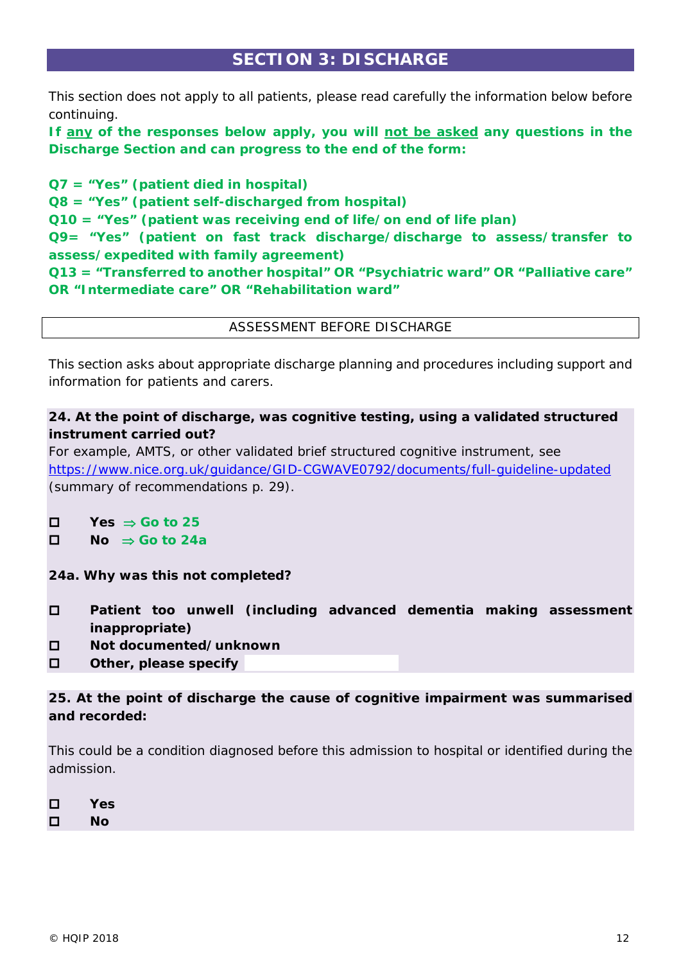# **SECTION 3: DISCHARGE**

This section does not apply to all patients, please read carefully the information below before continuing.

**If any of the responses below apply, you will not be asked any questions in the Discharge Section and can progress to the end of the form:**

**Q7 = "Yes" (patient died in hospital) Q8 = "Yes" (patient self-discharged from hospital) Q10 = "Yes" (patient was receiving end of life/on end of life plan) Q9= "Yes" (patient on fast track discharge/discharge to assess/transfer to assess/expedited with family agreement) Q13 = "Transferred to another hospital" OR "Psychiatric ward" OR "Palliative care" OR "Intermediate care" OR "Rehabilitation ward"**

ASSESSMENT BEFORE DISCHARGE

This section asks about appropriate discharge planning and procedures including support and information for patients and carers.

# **24. At the point of discharge, was cognitive testing, using a validated structured instrument carried out?**

*For example, AMTS, or other validated brief structured cognitive instrument, see*  <https://www.nice.org.uk/guidance/GID-CGWAVE0792/documents/full-guideline-updated> *(summary of recommendations p. 29).* 

- $\Box$  Yes  $\Rightarrow$  Go to 25
- **No** ⇒ **Go to 24a**

**24a. Why was this not completed?**

- **Patient too unwell (including advanced dementia making assessment inappropriate)**
- **Not documented/unknown**
- **Other, please specify**

**25. At the point of discharge the cause of cognitive impairment was summarised and recorded:**

*This could be a condition diagnosed before this admission to hospital or identified during the admission.* 

| □ | Yes |
|---|-----|
| □ | Nο  |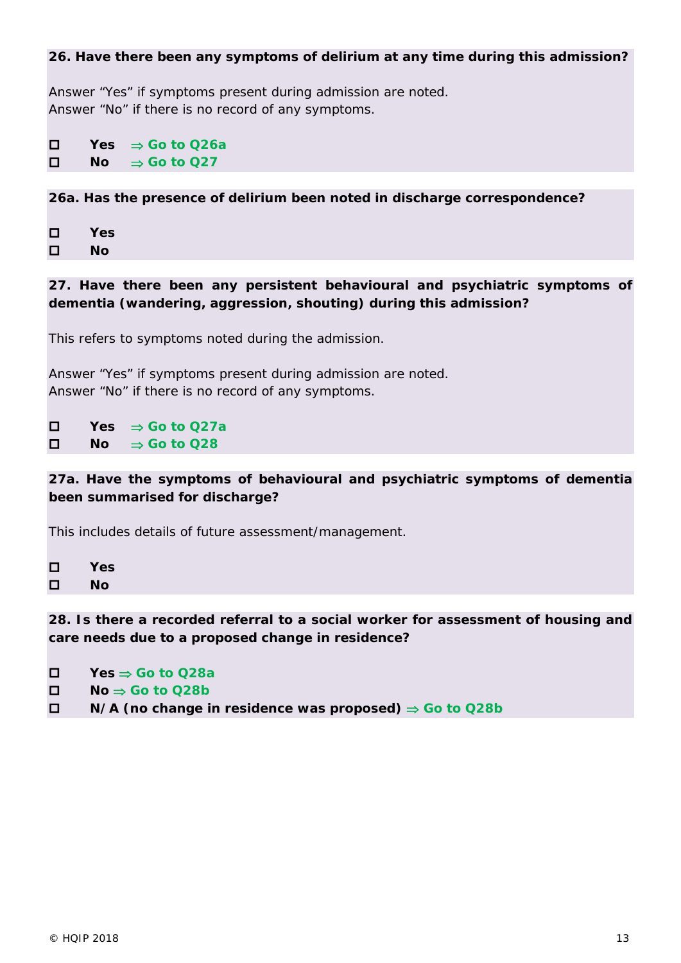#### **26. Have there been any symptoms of delirium at any time during this admission?**

*Answer "Yes" if symptoms present during admission are noted. Answer "No" if there is no record of any symptoms.*

 **Yes** ⇒ **Go to Q26a No** ⇒ **Go to Q27**

**26a. Has the presence of delirium been noted in discharge correspondence?**

 **Yes No**

**27. Have there been any persistent behavioural and psychiatric symptoms of dementia (wandering, aggression, shouting) during this admission?**

*This refers to symptoms noted during the admission.*

*Answer "Yes" if symptoms present during admission are noted. Answer "No" if there is no record of any symptoms.*

 **Yes** ⇒ **Go to Q27a No** ⇒ **Go to Q28**

**27a. Have the symptoms of behavioural and psychiatric symptoms of dementia been summarised for discharge?** 

*This includes details of future assessment/management.*

| □ | Yes |
|---|-----|
| □ | Nο  |

**28. Is there a recorded referral to a social worker for assessment of housing and care needs due to a proposed change in residence?**

- **Yes** ⇒ **Go to Q28a**
- **No** ⇒ **Go to Q28b**
- **N/A (no change in residence was proposed)** ⇒ **Go to Q28b**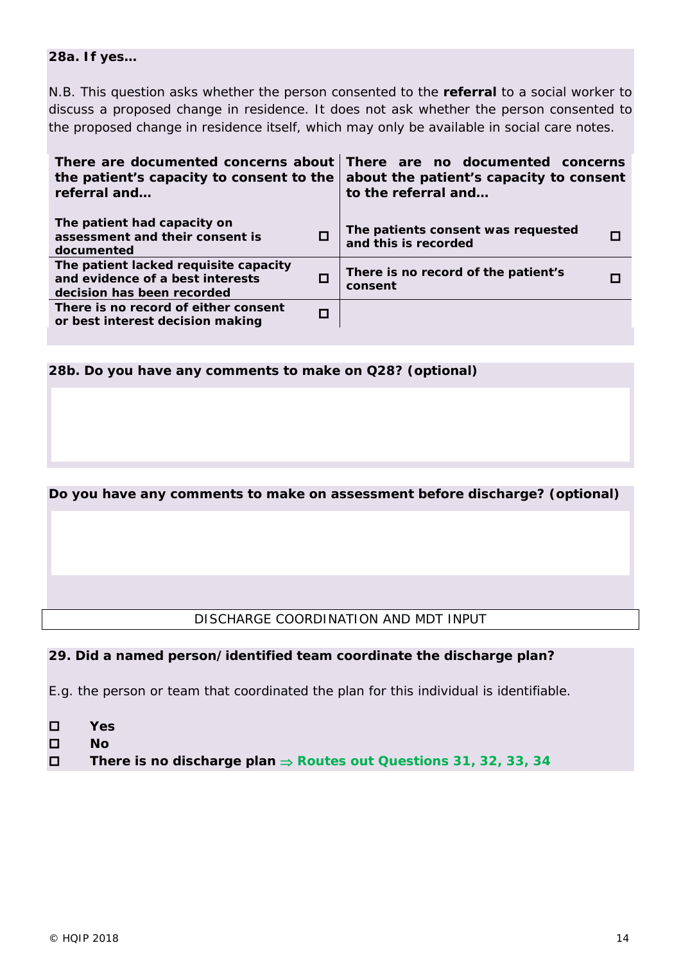#### **28a. If yes…**

*N.B. This question asks whether the person consented to the referral to a social worker to discuss a proposed change in residence. It does not ask whether the person consented to the proposed change in residence itself, which may only be available in social care notes.* 

| There are documented concerns about<br>the patient's capacity to consent to the<br>referral and         | There are no documented concerns<br>about the patient's capacity to consent<br>to the referral and |
|---------------------------------------------------------------------------------------------------------|----------------------------------------------------------------------------------------------------|
| The patient had capacity on<br>assessment and their consent is<br>documented                            | The patients consent was requested<br>and this is recorded                                         |
| The patient lacked requisite capacity<br>and evidence of a best interests<br>decision has been recorded | There is no record of the patient's<br>consent                                                     |
| There is no record of either consent<br>or best interest decision making                                |                                                                                                    |

**28b. Do you have any comments to make on Q28?** *(optional)*

#### *Do you have any comments to make on assessment before discharge? (optional)*

#### DISCHARGE COORDINATION AND MDT INPUT

#### **29. Did a named person/identified team coordinate the discharge plan?**

*E.g. the person or team that coordinated the plan for this individual is identifiable.*

- **Yes**
- **No**
- **There is no discharge plan** ⇒ **Routes out Questions 31, 32, 33, 34**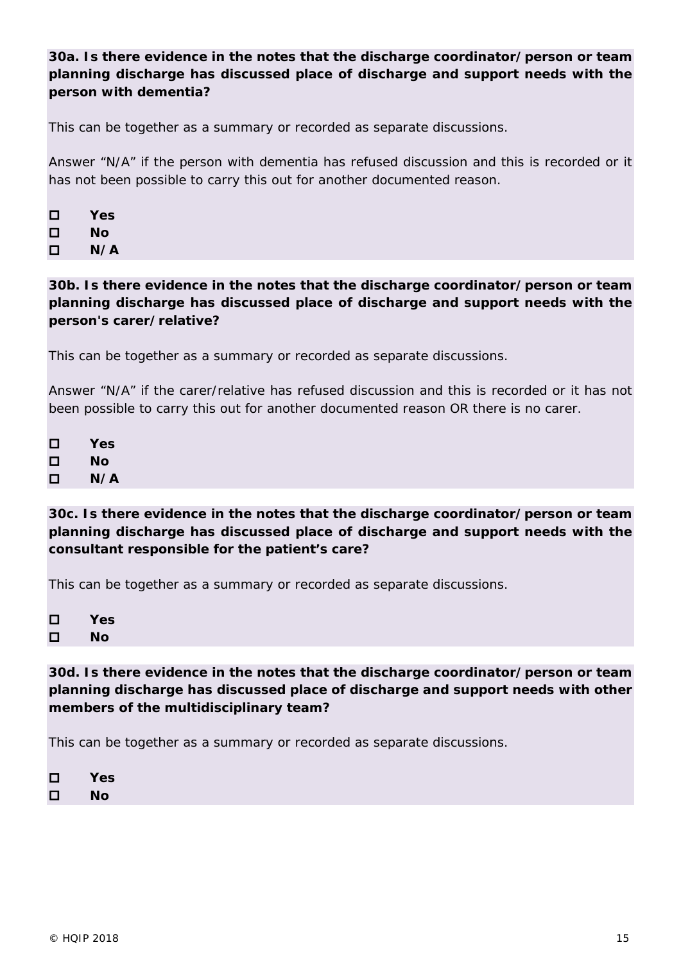# **30a. Is there evidence in the notes that the discharge coordinator/person or team planning discharge has discussed place of discharge and support needs with the person with dementia?**

*This can be together as a summary or recorded as separate discussions.* 

*Answer "N/A" if the person with dementia has refused discussion and this is recorded or it has not been possible to carry this out for another documented reason.*

| □ | Yes |
|---|-----|
| □ | Nο  |
| □ | N/A |

**30b. Is there evidence in the notes that the discharge coordinator/person or team planning discharge has discussed place of discharge and support needs with the person's carer/relative?**

*This can be together as a summary or recorded as separate discussions.* 

*Answer "N/A" if the carer/relative has refused discussion and this is recorded or it has not been possible to carry this out for another documented reason OR there is no carer.* 

| □ | Yes |
|---|-----|
| □ | Nο  |
| □ | N/A |

**30c. Is there evidence in the notes that the discharge coordinator/person or team planning discharge has discussed place of discharge and support needs with the consultant responsible for the patient's care?**

*This can be together as a summary or recorded as separate discussions.* 

| □ | Yes |
|---|-----|
| □ | Nο  |

**30d. Is there evidence in the notes that the discharge coordinator/person or team planning discharge has discussed place of discharge and support needs with other members of the multidisciplinary team?**

*This can be together as a summary or recorded as separate discussions.* 

| □ | Yes |
|---|-----|
| □ | Nο  |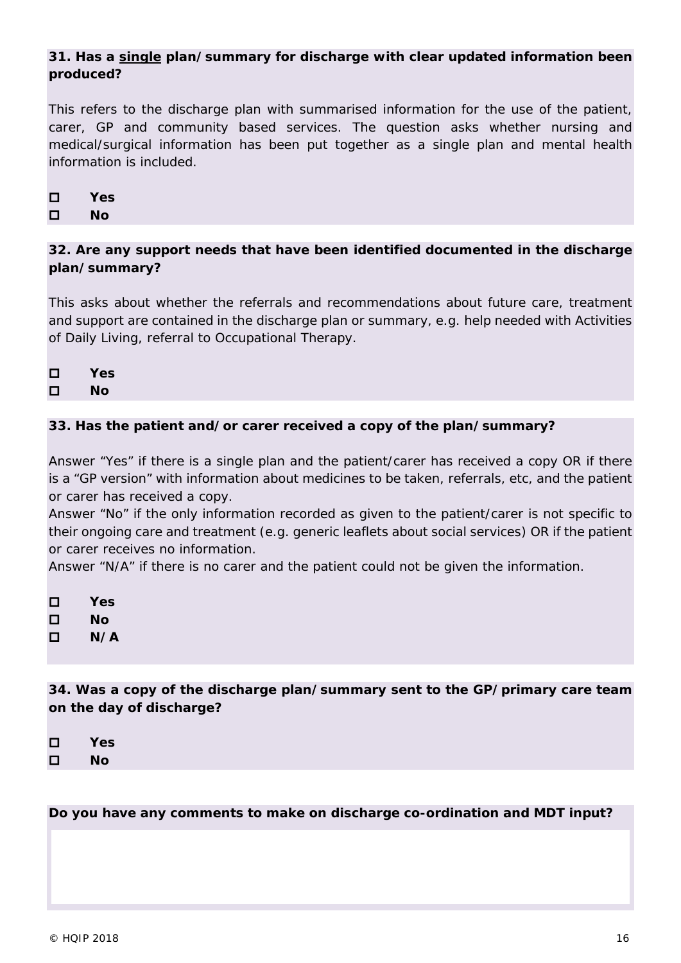# **31. Has a single plan/summary for discharge with clear updated information been produced?**

*This refers to the discharge plan with summarised information for the use of the patient, carer, GP and community based services. The question asks whether nursing and medical/surgical information has been put together as a single plan and mental health information is included.* 

| П | Yes |
|---|-----|
| П | Nο  |

## **32. Are any support needs that have been identified documented in the discharge plan/summary?**

*This asks about whether the referrals and recommendations about future care, treatment and support are contained in the discharge plan or summary, e.g. help needed with Activities of Daily Living, referral to Occupational Therapy.* 

| □ | Yes |
|---|-----|
| □ | Nο  |

## **33. Has the patient and/or carer received a copy of the plan/summary?**

*Answer "Yes" if there is a single plan and the patient/carer has received a copy OR if there is a "GP version" with information about medicines to be taken, referrals, etc, and the patient or carer has received a copy.*

*Answer "No" if the only information recorded as given to the patient/carer is not specific to their ongoing care and treatment (e.g. generic leaflets about social services) OR if the patient or carer receives no information.*

*Answer "N/A" if there is no carer and the patient could not be given the information.*

| □ | Yes |
|---|-----|
| □ | Nο  |
| □ | N/A |

**34. Was a copy of the discharge plan/summary sent to the GP/primary care team on the day of discharge?** 

| П | Yes |
|---|-----|
| П | Nο  |

*Do you have any comments to make on discharge co-ordination and MDT input?*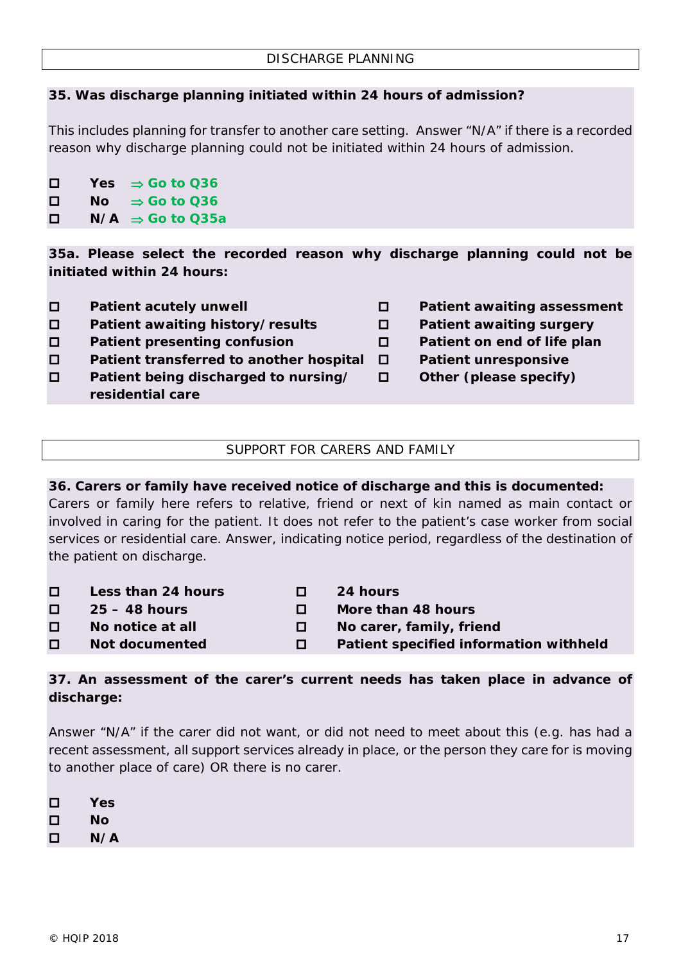## **35. Was discharge planning initiated within 24 hours of admission?**

*This includes planning for transfer to another care setting. Answer "N/A" if there is a recorded reason why discharge planning could not be initiated within 24 hours of admission.*

 **Yes** ⇒ **Go to Q36 No** ⇒ **Go to Q36 N/A** ⇒ **Go to Q35a**

**35a. Please select the recorded reason why discharge planning could not be initiated within 24 hours:**

- 
- **Patient awaiting history/results Patient awaiting surgery**
- **Patient presenting confusion Patient on end of life plan**
- **Patient transferred to another hospital Patient unresponsive**
- **Patient being discharged to nursing/ Other (please specify) residential care**
- **Patient acutely unwell Patient awaiting assessment**
	-
	-
	- -

## SUPPORT FOR CARERS AND FAMILY

#### **36. Carers or family have received notice of discharge and this is documented:**

*Carers or family here refers to relative, friend or next of kin named as main contact or involved in caring for the patient. It does not refer to the patient's case worker from social services or residential care. Answer, indicating notice period, regardless of the destination of the patient on discharge.* 

| $\Box$ | Less than 24 hours | 0      | <b>24 hours</b>                        |
|--------|--------------------|--------|----------------------------------------|
| 0      | $25 - 48$ hours    | П.     | More than 48 hours                     |
| $\Box$ | No notice at all   | $\Box$ | No carer, family, friend               |
| $\Box$ | Not documented     | П.     | Patient specified information withheld |

## **37. An assessment of the carer's current needs has taken place in advance of discharge:**

*Answer "N/A" if the carer did not want, or did not need to meet about this (e.g. has had a recent assessment, all support services already in place, or the person they care for is moving to another place of care) OR there is no carer.*

- **No**
- $\Pi$   $N/A$